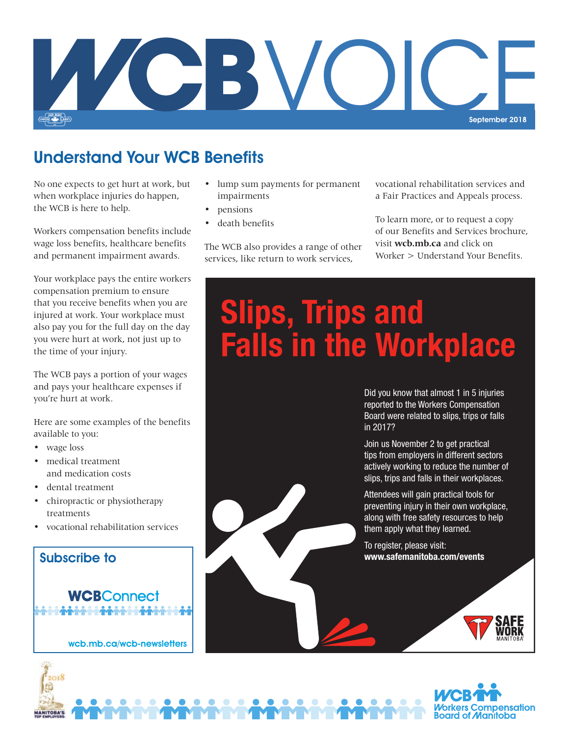

#### Understand Your WCB Benefits

No one expects to get hurt at work, but when workplace injuries do happen, the WCB is here to help.

Workers compensation benefits include wage loss benefits, healthcare benefits and permanent impairment awards.

Your workplace pays the entire workers compensation premium to ensure that you receive benefits when you are injured at work. Your workplace must also pay you for the full day on the day you were hurt at work, not just up to the time of your injury.

The WCB pays a portion of your wages and pays your healthcare expenses if you're hurt at work.

Here are some examples of the benefits available to you:

• wage loss

2018

**ANITOBA'S** 

- medical treatment and medication costs
- dental treatment
- chiropractic or physiotherapy treatments
- vocational rehabilitation services



wcb.mb.ca/wcb-newsletters

- lump sum payments for permanent impairments
- pensions
- death benefits

The WCB also provides a range of other services, like return to work services,

vocational rehabilitation services and a Fair Practices and Appeals process.

To learn more, or to request a copy of our Benefits and Services brochure, visit **wcb.mb.ca** and click on Worker > Understand Your Benefits.

# **Slips, Trips and Falls in the Workplace**

Did you know that almost 1 in 5 injuries reported to the Workers Compensation Board were related to slips, trips or falls in 2017?

Join us November 2 to get practical tips from employers in different sectors actively working to reduce the number of slips, trips and falls in their workplaces.

Attendees will gain practical tools for preventing injury in their own workplace, along with free safety resources to help them apply what they learned.

To register, please visit: